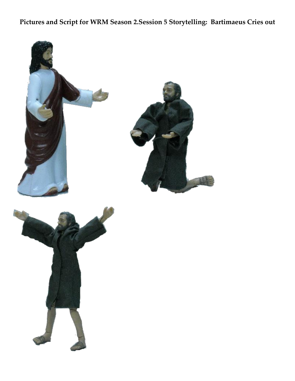## **Pictures and Script for WRM Season 2.Session 5 Storytelling: Bartimaeus Cries out**

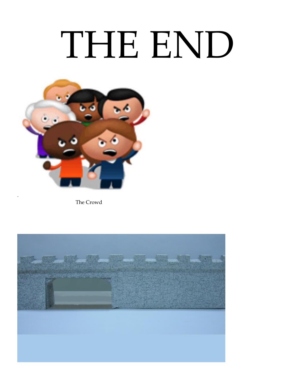## THE END



The Crowd